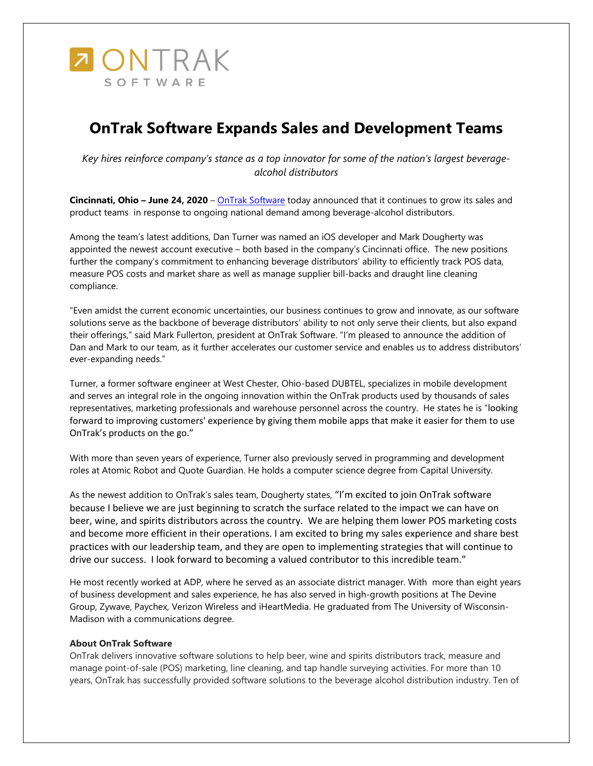

## **OnTrak Software Expands Sales and Development Teams**

*Key hires reinforce company's stance as a top innovator for some of the nation's largest beveragealcohol distributors*

**Cincinnati, Ohio – June 24, 2020** – [OnTrak Software](http://www.ontraksoftware.com/) today announced that it continues to grow its sales and product teams in response to ongoing national demand among beverage-alcohol distributors.

Among the team's latest additions, Dan Turner was named an iOS developer and Mark Dougherty was appointed the newest account executive – both based in the company's Cincinnati office. The new positions further the company's commitment to enhancing beverage distributors' ability to efficiently track POS data, measure POS costs and market share as well as manage supplier bill-backs and draught line cleaning compliance.

"Even amidst the current economic uncertainties, our business continues to grow and innovate, as our software solutions serve as the backbone of beverage distributors' ability to not only serve their clients, but also expand their offerings," said Mark Fullerton, president at OnTrak Software. "I'm pleased to announce the addition of Dan and Mark to our team, as it further accelerates our customer service and enables us to address distributors' ever-expanding needs."

Turner, a former software engineer at West Chester, Ohio-based DUBTEL, specializes in mobile development and serves an integral role in the ongoing innovation within the OnTrak products used by thousands of sales representatives, marketing professionals and warehouse personnel across the country. He states he is "looking forward to improving customers' experience by giving them mobile apps that make it easier for them to use OnTrak's products on the go."

With more than seven years of experience, Turner also previously served in programming and development roles at Atomic Robot and Quote Guardian. He holds a computer science degree from Capital University.

As the newest addition to OnTrak's sales team, Dougherty states, "I'm excited to join OnTrak software because I believe we are just beginning to scratch the surface related to the impact we can have on beer, wine, and spirits distributors across the country. We are helping them lower POS marketing costs and become more efficient in their operations. I am excited to bring my sales experience and share best practices with our leadership team, and they are open to implementing strategies that will continue to drive our success. I look forward to becoming a valued contributor to this incredible team."

He most recently worked at ADP, where he served as an associate district manager. With more than eight years of business development and sales experience, he has also served in high-growth positions at The Devine Group, Zywave, Paychex, Verizon Wireless and iHeartMedia. He graduated from The University of Wisconsin-Madison with a communications degree.

## **About OnTrak Software**

OnTrak delivers innovative software solutions to help beer, wine and spirits distributors track, measure and manage point-of-sale (POS) marketing, line cleaning, and tap handle surveying activities. For more than 10 years, OnTrak has successfully provided software solutions to the beverage alcohol distribution industry. Ten of